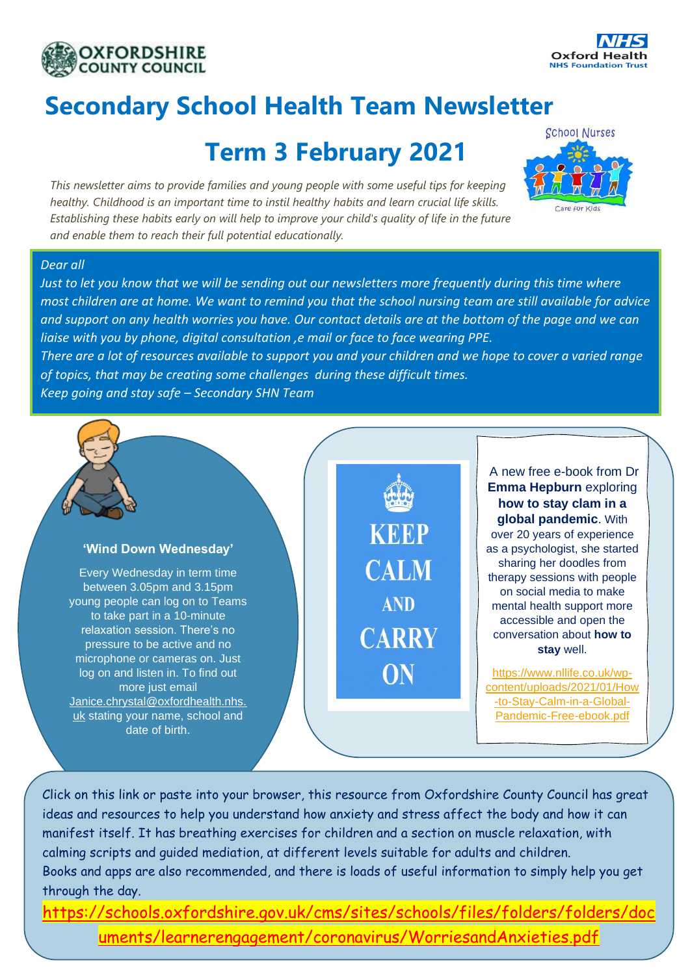



# **Secondary School Health Team Newsletter**

## **Term 3 February 2021**

*This newsletter aims to provide families and young people with some useful tips for keeping healthy. Childhood is an important time to instil healthy habits and learn crucial life skills. Establishing these habits early on will help to improve your child's quality of life in the future and enable them to reach their full potential educationally.*



### *Dear all*

*Just to let you know that we will be sending out our newsletters more frequently during this time where most children are at home. We want to remind you that the school nursing team are still available for advice and support on any health worries you have. Our contact details are at the bottom of the page and we can liaise with you by phone, digital consultation ,e mail or face to face wearing PPE.*

*There are a lot of resources available to support you and your children and we hope to cover a varied range of topics, that may be creating some challenges during these difficult times.* 

*Keep going and stay safe – Secondary SHN Team* 

## **'Wind Down Wednesday'**

Every Wednesday in term time between 3.05pm and 3.15pm young people can log on to Teams to take part in a 10-minute relaxation session. There's no pressure to be active and no microphone or cameras on. Just log on and listen in. To find out more just email [Janice.chrystal@oxfordhealth.nhs.](mailto:Janice.chrystal@oxfordhealth.nhs.uk) [uk](mailto:Janice.chrystal@oxfordhealth.nhs.uk) stating your name, school and date of birth.

KRRP **CALM AND CARRY** ON

A new free e-book from Dr **Emma Hepburn** exploring **how to stay clam in a global pandemic**. With over 20 years of experience as a psychologist, she started sharing her doodles from therapy sessions with people on social media to make mental health support more accessible and open the conversation about **how to stay** well.

[https://www.nllife.co.uk/wp](https://www.nllife.co.uk/wp-content/uploads/2021/01/How-to-Stay-Calm-in-a-Global-Pandemic-Free-ebook.pdf)[content/uploads/2021/01/How](https://www.nllife.co.uk/wp-content/uploads/2021/01/How-to-Stay-Calm-in-a-Global-Pandemic-Free-ebook.pdf) [-to-Stay-Calm-in-a-Global-](https://www.nllife.co.uk/wp-content/uploads/2021/01/How-to-Stay-Calm-in-a-Global-Pandemic-Free-ebook.pdf)[Pandemic-Free-ebook.pdf](https://www.nllife.co.uk/wp-content/uploads/2021/01/How-to-Stay-Calm-in-a-Global-Pandemic-Free-ebook.pdf)

Click on this link or paste into your browser, this resource from Oxfordshire County Council has great ideas and resources to help you understand how anxiety and stress affect the body and how it can manifest itself. It has breathing exercises for children and a section on muscle relaxation, with calming scripts and guided mediation, at different levels suitable for adults and children. Books and apps are also recommended, and there is loads of useful information to simply help you get through the day.

[https://schools.oxfordshire.gov.uk/cms/sites/schools/files/folders/folders/doc](https://schools.oxfordshire.gov.uk/cms/sites/schools/files/folders/folders/documents/learnerengagement/coronavirus/WorriesandAnxieties.pdf) [uments/learnerengagement/coronavirus/WorriesandAnxieties.pdf](https://schools.oxfordshire.gov.uk/cms/sites/schools/files/folders/folders/documents/learnerengagement/coronavirus/WorriesandAnxieties.pdf)